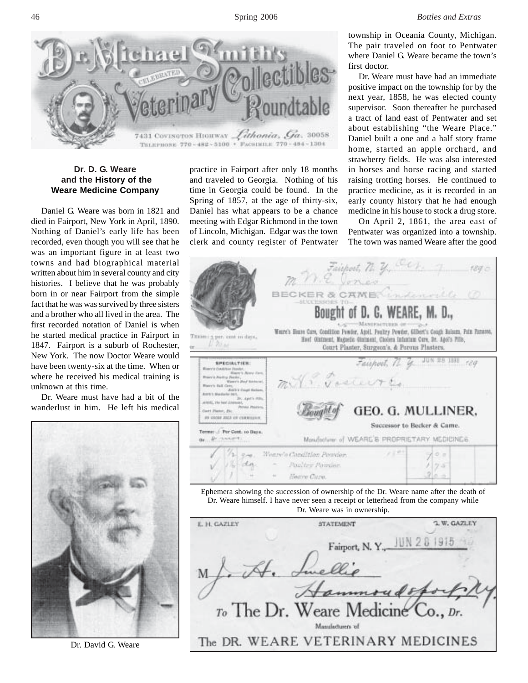

## **Dr. D. G. Weare and the History of the Weare Medicine Company**

Daniel G. Weare was born in 1821 and died in Fairport, New York in April, 1890. Nothing of Daniel's early life has been recorded, even though you will see that he was an important figure in at least two towns and had biographical material written about him in several county and city histories. I believe that he was probably born in or near Fairport from the simple fact that he was was survived by three sisters and a brother who all lived in the area. The first recorded notation of Daniel is when he started medical practice in Fairport in 1847. Fairport is a suburb of Rochester, New York. The now Doctor Weare would have been twenty-six at the time. When or where he received his medical training is unknown at this time.

Dr. Weare must have had a bit of the wanderlust in him. He left his medical



Dr. David G. Weare

practice in Fairport after only 18 months and traveled to Georgia. Nothing of his time in Georgia could be found. In the Spring of 1857, at the age of thirty-six, Daniel has what appears to be a chance meeting with Edgar Richmond in the town of Lincoln, Michigan. Edgar was the town clerk and county register of Pentwater

township in Oceania County, Michigan. The pair traveled on foot to Pentwater where Daniel G. Weare became the town's first doctor.

Dr. Weare must have had an immediate positive impact on the township for by the next year, 1858, he was elected county supervisor. Soon thereafter he purchased a tract of land east of Pentwater and set about establishing "the Weare Place." Daniel built a one and a half story frame home, started an apple orchard, and strawberry fields. He was also interested in horses and horse racing and started raising trotting horses. He continued to practice medicine, as it is recorded in an early county history that he had enough medicine in his house to stock a drug store.

On April 2, 1861, the area east of Pentwater was organized into a township. The town was named Weare after the good



Dr. Weare was in ownership.

| E. H. GAZLEY | <b>STATEMENT</b>                   | <b>J. W. GAZLEY</b> |
|--------------|------------------------------------|---------------------|
|              | Fairport, N.Y.,                    |                     |
|              |                                    |                     |
|              |                                    |                     |
|              | To The Dr. Weare Medicine Co., Dr. |                     |
|              | Manufacturers of                   |                     |
|              | The DR. WEARE VETERINARY MEDICINES |                     |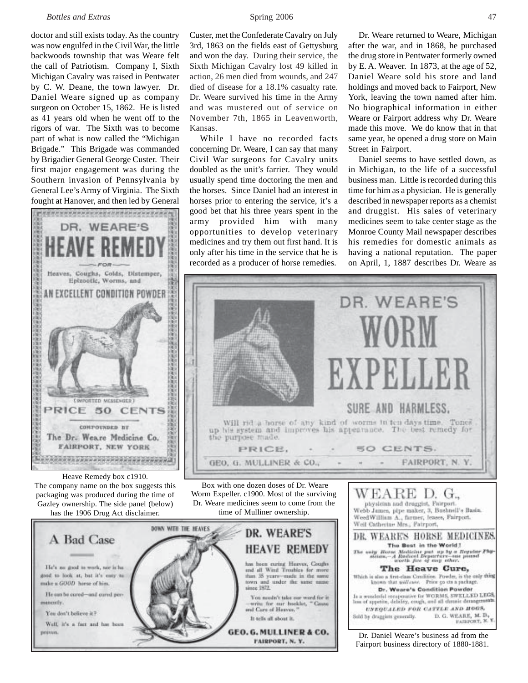## *Bottles and Extras* Spring 2006 47

doctor and still exists today. As the country was now engulfed in the Civil War, the little backwoods township that was Weare felt the call of Patriotism. Company I, Sixth Michigan Cavalry was raised in Pentwater by C. W. Deane, the town lawyer. Dr. Daniel Weare signed up as company surgeon on October 15, 1862. He is listed as 41 years old when he went off to the rigors of war. The Sixth was to become part of what is now called the "Michigan Brigade." This Brigade was commanded by Brigadier General George Custer. Their first major engagement was during the Southern invasion of Pennsylvania by General Lee's Army of Virginia. The Sixth fought at Hanover, and then led by General



Heave Remedy box c1910. The company name on the box suggests this packaging was produced during the time of Gazley ownership. The side panel (below) has the 1906 Drug Act disclaimer.



Custer, met the Confederate Cavalry on July 3rd, 1863 on the fields east of Gettysburg and won the day. During their service, the Sixth Michigan Cavalry lost 49 killed in action, 26 men died from wounds, and 247 died of disease for a 18.1% casualty rate. Dr. Weare survived his time in the Army and was mustered out of service on November 7th, 1865 in Leavenworth, Kansas.

While I have no recorded facts concerning Dr. Weare, I can say that many Civil War surgeons for Cavalry units doubled as the unit's farrier. They would usually spend time doctoring the men and the horses. Since Daniel had an interest in horses prior to entering the service, it's a good bet that his three years spent in the army provided him with many opportunities to develop veterinary medicines and try them out first hand. It is only after his time in the service that he is recorded as a producer of horse remedies.

Dr. Weare returned to Weare, Michigan after the war, and in 1868, he purchased the drug store in Pentwater formerly owned by E. A. Weaver. In 1873, at the age of 52, Daniel Weare sold his store and land holdings and moved back to Fairport, New York, leaving the town named after him. No biographical information in either Weare or Fairport address why Dr. Weare made this move. We do know that in that same year, he opened a drug store on Main Street in Fairport.

Daniel seems to have settled down, as in Michigan, to the life of a successful business man. Little is recorded during this time for him as a physician. He is generally described in newspaper reports as a chemist and druggist. His sales of veterinary medicines seem to take center stage as the Monroe County Mail newspaper describes his remedies for domestic animals as having a national reputation. The paper on April, 1, 1887 describes Dr. Weare as